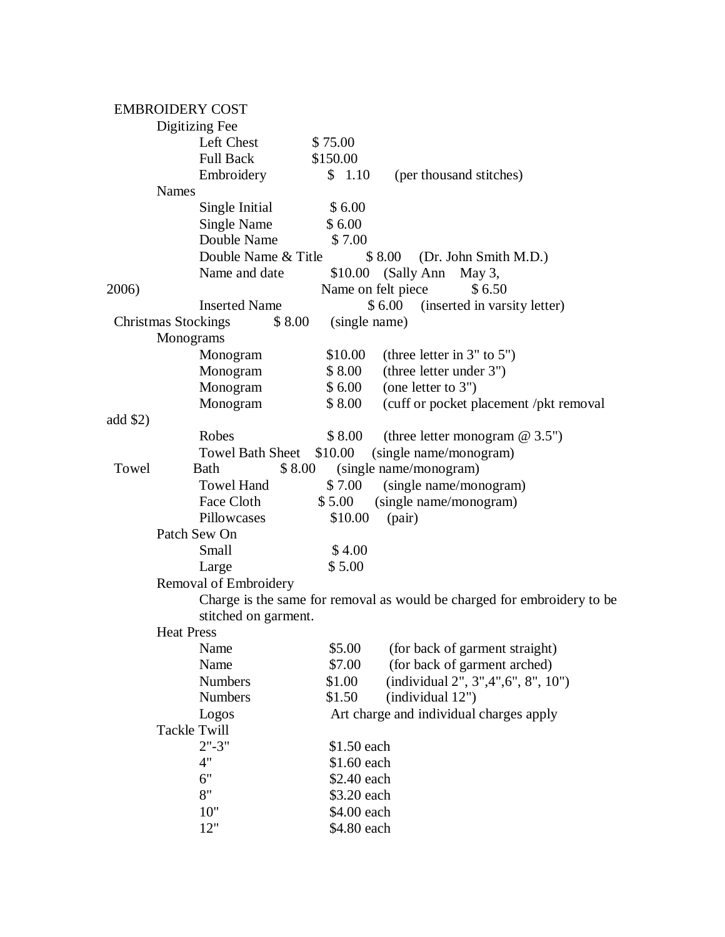|          | <b>EMBROIDERY COST</b>               |                    |                                                                         |  |
|----------|--------------------------------------|--------------------|-------------------------------------------------------------------------|--|
|          | Digitizing Fee                       |                    |                                                                         |  |
|          | Left Chest                           | \$75.00            |                                                                         |  |
|          | <b>Full Back</b>                     | \$150.00           |                                                                         |  |
|          | Embroidery                           | \$1.10             | (per thousand stitches)                                                 |  |
|          | <b>Names</b>                         |                    |                                                                         |  |
|          | Single Initial                       | \$6.00             |                                                                         |  |
|          | Single Name                          | \$6.00             |                                                                         |  |
|          | Double Name                          | \$7.00             |                                                                         |  |
|          | Double Name & Title                  |                    | \$8.00<br>(Dr. John Smith M.D.)                                         |  |
|          | Name and date                        |                    | $$10.00$ (Sally Ann May 3,                                              |  |
| 2006)    |                                      | Name on felt piece | \$6.50                                                                  |  |
|          | <b>Inserted Name</b>                 |                    | \$6.00<br>(inserted in varsity letter)                                  |  |
|          | <b>Christmas Stockings</b><br>\$8.00 | (single name)      |                                                                         |  |
|          | Monograms                            |                    |                                                                         |  |
|          | Monogram                             | \$10.00            | (three letter in $3"$ to $5")$                                          |  |
|          | Monogram                             | \$8.00             | (three letter under 3")                                                 |  |
|          | Monogram                             | \$6.00             | (one letter to $3"$ )                                                   |  |
|          | Monogram                             | \$8.00             | (cuff or pocket placement /pkt removal                                  |  |
| add \$2) |                                      |                    |                                                                         |  |
|          | Robes                                | \$8.00             | (three letter monogram $@$ 3.5")                                        |  |
|          | <b>Towel Bath Sheet</b>              | \$10.00            | (single name/monogram)                                                  |  |
| Towel    | <b>Bath</b><br>\$8.00                |                    | (single name/monogram)                                                  |  |
|          | <b>Towel Hand</b>                    | \$7.00             | (single name/monogram)                                                  |  |
|          | Face Cloth                           | \$5.00             | (single name/monogram)                                                  |  |
|          | Pillowcases                          | \$10.00            | (pair)                                                                  |  |
|          | Patch Sew On                         |                    |                                                                         |  |
|          | Small                                | \$4.00             |                                                                         |  |
|          | Large                                | \$5.00             |                                                                         |  |
|          | Removal of Embroidery                |                    |                                                                         |  |
|          |                                      |                    | Charge is the same for removal as would be charged for embroidery to be |  |
|          | stitched on garment.                 |                    |                                                                         |  |
|          | <b>Heat Press</b>                    |                    |                                                                         |  |
|          | Name                                 | \$5.00             | (for back of garment straight)                                          |  |
|          | Name                                 | \$7.00             | (for back of garment arched)                                            |  |
|          | <b>Numbers</b>                       | \$1.00             | (individual 2", 3", 4", 6", 8", 10")                                    |  |
|          | <b>Numbers</b>                       | \$1.50             | (individual 12")                                                        |  |
|          | Logos                                |                    | Art charge and individual charges apply                                 |  |
|          | <b>Tackle Twill</b>                  |                    |                                                                         |  |
|          | $2" - 3"$                            | \$1.50 each        |                                                                         |  |
|          | 4"                                   | \$1.60 each        |                                                                         |  |
|          | 6"<br>8"                             | \$2.40 each        |                                                                         |  |
|          |                                      | \$3.20 each        |                                                                         |  |
|          | 10"<br>12"                           | \$4.00 each        |                                                                         |  |
|          |                                      | \$4.80 each        |                                                                         |  |